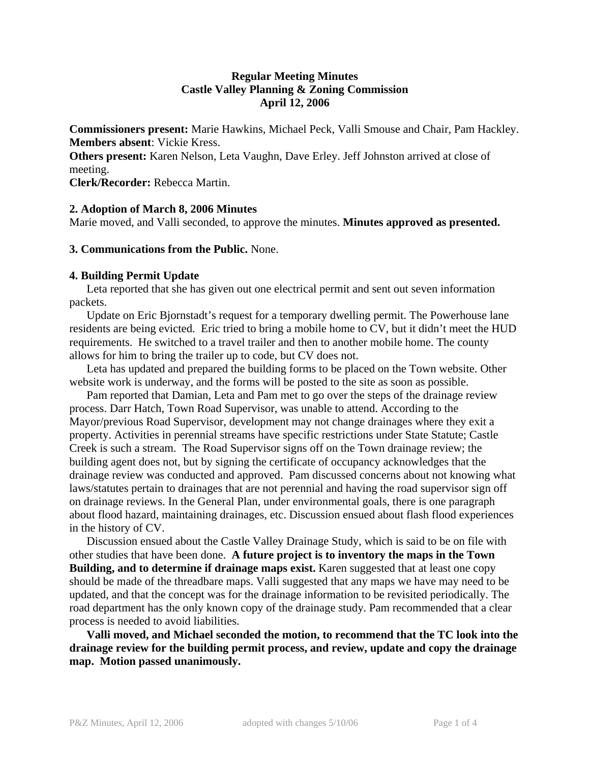# **Regular Meeting Minutes Castle Valley Planning & Zoning Commission April 12, 2006**

**Commissioners present:** Marie Hawkins, Michael Peck, Valli Smouse and Chair, Pam Hackley. **Members absent**: Vickie Kress.

**Others present:** Karen Nelson, Leta Vaughn, Dave Erley. Jeff Johnston arrived at close of meeting.

**Clerk/Recorder:** Rebecca Martin.

# **2. Adoption of March 8, 2006 Minutes**

Marie moved, and Valli seconded, to approve the minutes. **Minutes approved as presented.**

## **3. Communications from the Public.** None.

## **4. Building Permit Update**

 Leta reported that she has given out one electrical permit and sent out seven information packets.

 Update on Eric Bjornstadt's request for a temporary dwelling permit. The Powerhouse lane residents are being evicted. Eric tried to bring a mobile home to CV, but it didn't meet the HUD requirements. He switched to a travel trailer and then to another mobile home. The county allows for him to bring the trailer up to code, but CV does not.

 Leta has updated and prepared the building forms to be placed on the Town website. Other website work is underway, and the forms will be posted to the site as soon as possible.

 Pam reported that Damian, Leta and Pam met to go over the steps of the drainage review process. Darr Hatch, Town Road Supervisor, was unable to attend. According to the Mayor/previous Road Supervisor, development may not change drainages where they exit a property. Activities in perennial streams have specific restrictions under State Statute; Castle Creek is such a stream. The Road Supervisor signs off on the Town drainage review; the building agent does not, but by signing the certificate of occupancy acknowledges that the drainage review was conducted and approved. Pam discussed concerns about not knowing what laws/statutes pertain to drainages that are not perennial and having the road supervisor sign off on drainage reviews. In the General Plan, under environmental goals, there is one paragraph about flood hazard, maintaining drainages, etc. Discussion ensued about flash flood experiences in the history of CV.

 Discussion ensued about the Castle Valley Drainage Study, which is said to be on file with other studies that have been done. **A future project is to inventory the maps in the Town Building, and to determine if drainage maps exist.** Karen suggested that at least one copy should be made of the threadbare maps. Valli suggested that any maps we have may need to be updated, and that the concept was for the drainage information to be revisited periodically. The road department has the only known copy of the drainage study. Pam recommended that a clear process is needed to avoid liabilities.

 **Valli moved, and Michael seconded the motion, to recommend that the TC look into the drainage review for the building permit process, and review, update and copy the drainage map. Motion passed unanimously.**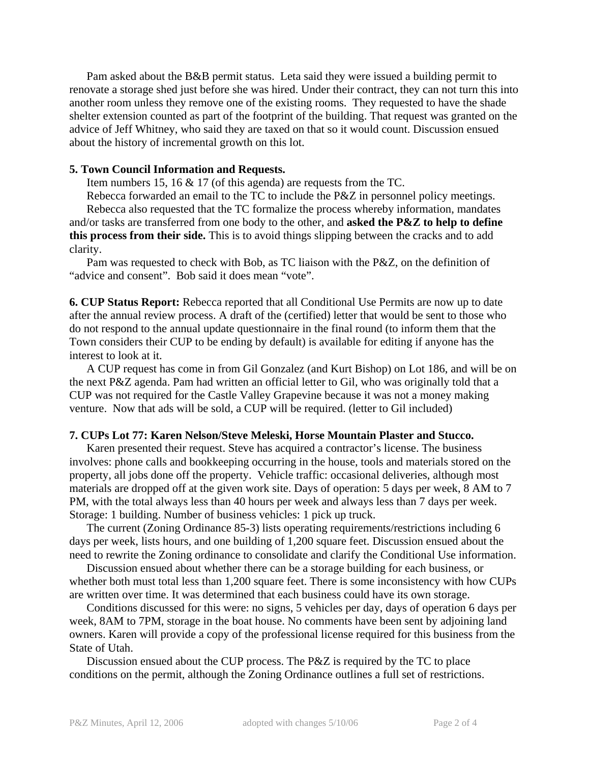Pam asked about the B&B permit status. Leta said they were issued a building permit to renovate a storage shed just before she was hired. Under their contract, they can not turn this into another room unless they remove one of the existing rooms. They requested to have the shade shelter extension counted as part of the footprint of the building. That request was granted on the advice of Jeff Whitney, who said they are taxed on that so it would count. Discussion ensued about the history of incremental growth on this lot.

## **5. Town Council Information and Requests.**

Item numbers 15, 16 & 17 (of this agenda) are requests from the TC.

Rebecca forwarded an email to the TC to include the P&Z in personnel policy meetings.

 Rebecca also requested that the TC formalize the process whereby information, mandates and/or tasks are transferred from one body to the other, and **asked the P&Z to help to define this process from their side.** This is to avoid things slipping between the cracks and to add clarity.

 Pam was requested to check with Bob, as TC liaison with the P&Z, on the definition of "advice and consent". Bob said it does mean "vote".

**6. CUP Status Report:** Rebecca reported that all Conditional Use Permits are now up to date after the annual review process. A draft of the (certified) letter that would be sent to those who do not respond to the annual update questionnaire in the final round (to inform them that the Town considers their CUP to be ending by default) is available for editing if anyone has the interest to look at it.

 A CUP request has come in from Gil Gonzalez (and Kurt Bishop) on Lot 186, and will be on the next P&Z agenda. Pam had written an official letter to Gil, who was originally told that a CUP was not required for the Castle Valley Grapevine because it was not a money making venture. Now that ads will be sold, a CUP will be required. (letter to Gil included)

#### **7. CUPs Lot 77: Karen Nelson/Steve Meleski, Horse Mountain Plaster and Stucco.**

 Karen presented their request. Steve has acquired a contractor's license. The business involves: phone calls and bookkeeping occurring in the house, tools and materials stored on the property, all jobs done off the property. Vehicle traffic: occasional deliveries, although most materials are dropped off at the given work site. Days of operation: 5 days per week, 8 AM to 7 PM, with the total always less than 40 hours per week and always less than 7 days per week. Storage: 1 building. Number of business vehicles: 1 pick up truck.

 The current (Zoning Ordinance 85-3) lists operating requirements/restrictions including 6 days per week, lists hours, and one building of 1,200 square feet. Discussion ensued about the need to rewrite the Zoning ordinance to consolidate and clarify the Conditional Use information.

 Discussion ensued about whether there can be a storage building for each business, or whether both must total less than 1,200 square feet. There is some inconsistency with how CUPs are written over time. It was determined that each business could have its own storage.

 Conditions discussed for this were: no signs, 5 vehicles per day, days of operation 6 days per week, 8AM to 7PM, storage in the boat house. No comments have been sent by adjoining land owners. Karen will provide a copy of the professional license required for this business from the State of Utah.

 Discussion ensued about the CUP process. The P&Z is required by the TC to place conditions on the permit, although the Zoning Ordinance outlines a full set of restrictions.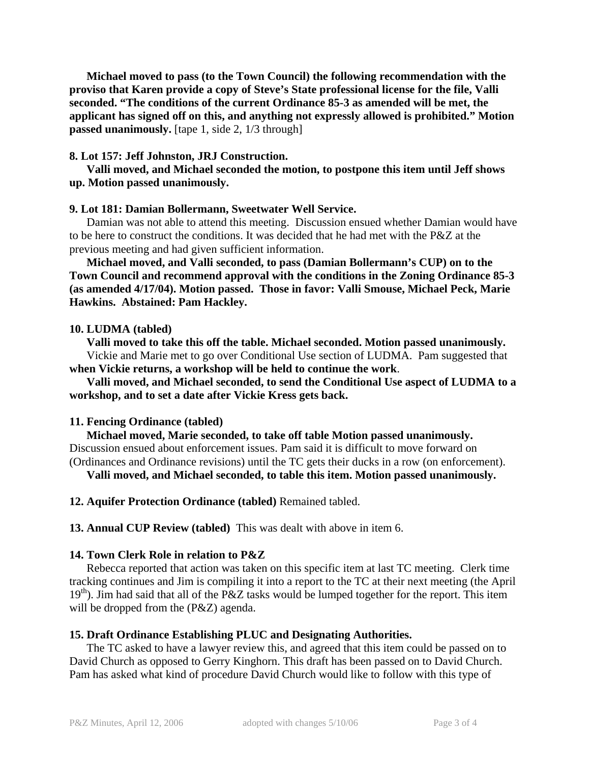**Michael moved to pass (to the Town Council) the following recommendation with the proviso that Karen provide a copy of Steve's State professional license for the file, Valli seconded. "The conditions of the current Ordinance 85-3 as amended will be met, the applicant has signed off on this, and anything not expressly allowed is prohibited." Motion passed unanimously.** [tape 1, side 2, 1/3 through]

## **8. Lot 157: Jeff Johnston, JRJ Construction.**

 **Valli moved, and Michael seconded the motion, to postpone this item until Jeff shows up. Motion passed unanimously.** 

#### **9. Lot 181: Damian Bollermann, Sweetwater Well Service.**

 Damian was not able to attend this meeting. Discussion ensued whether Damian would have to be here to construct the conditions. It was decided that he had met with the P&Z at the previous meeting and had given sufficient information.

**Michael moved, and Valli seconded, to pass (Damian Bollermann's CUP) on to the Town Council and recommend approval with the conditions in the Zoning Ordinance 85-3 (as amended 4/17/04). Motion passed. Those in favor: Valli Smouse, Michael Peck, Marie Hawkins. Abstained: Pam Hackley.** 

#### **10. LUDMA (tabled)**

 **Valli moved to take this off the table. Michael seconded. Motion passed unanimously.**  Vickie and Marie met to go over Conditional Use section of LUDMA. Pam suggested that **when Vickie returns, a workshop will be held to continue the work**.

 **Valli moved, and Michael seconded, to send the Conditional Use aspect of LUDMA to a workshop, and to set a date after Vickie Kress gets back.** 

#### **11. Fencing Ordinance (tabled)**

**Michael moved, Marie seconded, to take off table Motion passed unanimously.** Discussion ensued about enforcement issues. Pam said it is difficult to move forward on (Ordinances and Ordinance revisions) until the TC gets their ducks in a row (on enforcement).

 **Valli moved, and Michael seconded, to table this item. Motion passed unanimously.** 

**12. Aquifer Protection Ordinance (tabled)** Remained tabled.

**13. Annual CUP Review (tabled)** This was dealt with above in item 6.

#### **14. Town Clerk Role in relation to P&Z**

 Rebecca reported that action was taken on this specific item at last TC meeting. Clerk time tracking continues and Jim is compiling it into a report to the TC at their next meeting (the April  $19<sup>th</sup>$ ). Jim had said that all of the P&Z tasks would be lumped together for the report. This item will be dropped from the (P&Z) agenda.

#### **15. Draft Ordinance Establishing PLUC and Designating Authorities.**

 The TC asked to have a lawyer review this, and agreed that this item could be passed on to David Church as opposed to Gerry Kinghorn. This draft has been passed on to David Church. Pam has asked what kind of procedure David Church would like to follow with this type of